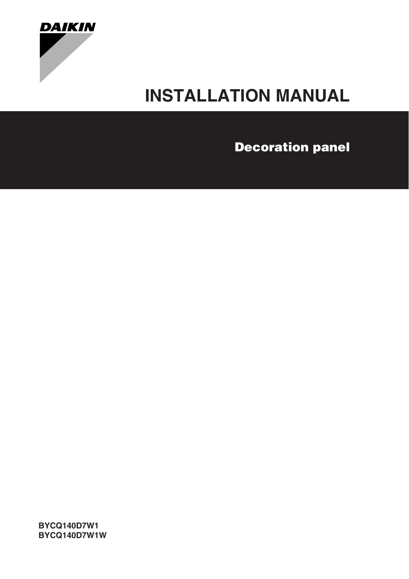

# **[INSTALLATION MANUAL](#page-2-0)**

**[Decoration panel](#page-2-1)**

**BYCQ140D7W1 BYCQ140D7W1W**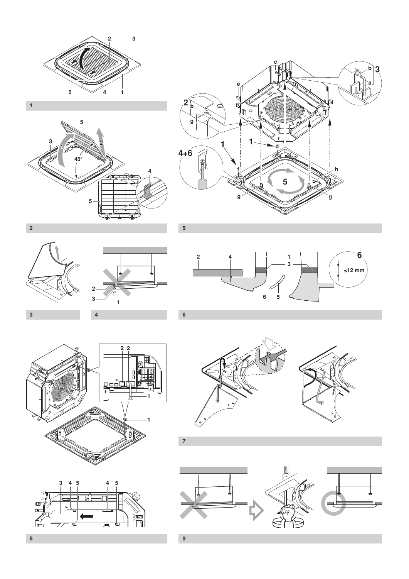<span id="page-1-2"></span>

<span id="page-1-0"></span>

<span id="page-1-5"></span>

<span id="page-1-1"></span>

<span id="page-1-3"></span>

 $\overline{5}$ 

 $6\overline{6}$ 

<span id="page-1-7"></span>

<span id="page-1-6"></span>







<span id="page-1-8"></span>

<span id="page-1-4"></span>

 $\boldsymbol{8}$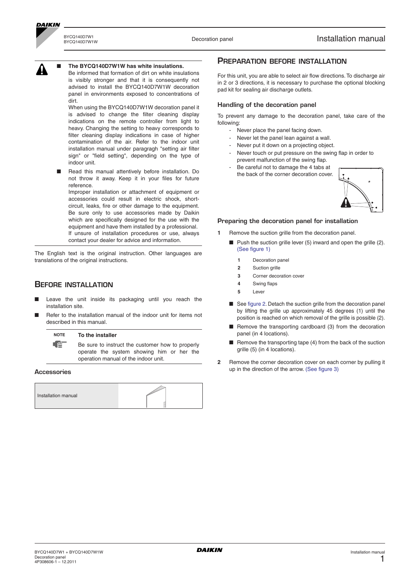## The BYCQ140D7W1W has white insulations.

Be informed that formation of dirt on white insulations is visibly stronger and that it is consequently not advised to install the BYCQ140D7W1W decoration panel in environments exposed to concentrations of dirt.

When using the BYCQ140D7W1W decoration panel it is advised to change the filter cleaning display indications on the remote controller from light to heavy. Changing the setting to heavy corresponds to filter cleaning display indications in case of higher contamination of the air. Refer to the indoor unit installation manual under paragragh "setting air filter sign" or "field setting", depending on the type of indoor unit.

Read this manual attentively before installation. Do not throw it away. Keep it in your files for future reference.

Improper installation or attachment of equipment or accessories could result in electric shock, shortcircuit, leaks, fire or other damage to the equipment. Be sure only to use accessories made by Daikin which are specifically designed for the use with the equipment and have them installed by a professional. If unsure of installation procedures or use, always contact your dealer for advice and information.

The English text is the original instruction. Other languages are translations of the original instructions.

# **BEFORE INSTALLATION**

- Leave the unit inside its packaging until you reach the installation site.
- Befer to the installation manual of the indoor unit for items not described in this manual.

**NOTE To the installer**

**FREE** Be sure to instruct the customer how to properly operate the system showing him or her the operation manual of the indoor unit.

#### **Accessories**

| Installation manual |  |
|---------------------|--|
|                     |  |

# <span id="page-2-1"></span><span id="page-2-0"></span>**PREPARATION BEFORE INSTALLATION**

For this unit, you are able to select air flow directions. To discharge air in 2 or 3 directions, it is necessary to purchase the optional blocking pad kit for sealing air discharge outlets.

#### **Handling of the decoration panel**

To prevent any damage to the decoration panel, take care of the following:

- Never place the panel facing down.
- Never let the panel lean against a wall.
- Never put it down on a projecting object.
- Never touch or put pressure on the swing flap in order to prevent malfunction of the swing flap.
	- Be careful not to damage the 4 tabs at the back of the corner decoration cover.



### <span id="page-2-2"></span>**Preparing the decoration panel for installation**

- **1** Remove the suction grille from the decoration panel.
	- Push the suction grille lever (5) inward and open the grille (2). [\(See figure 1\)](#page-1-2)
		- **1** Decoration panel
		- **2** Suction grille
		- **3** Corner decoration cover
		- **4** Swing flaps
		- **5** Lever
	- See [figure 2.](#page-1-0) Detach the suction grille from the decoration panel by lifting the grille up approximately 45 degrees (1) until the position is reached on which removal of the grille is possible (2).
	- Remove the transporting cardboard (3) from the decoration panel (in 4 locations).
	- Remove the transporting tape (4) from the back of the suction grille (5) (in 4 locations).
- **2** Remove the corner decoration cover on each corner by pulling it up in the direction of the arrow. [\(See figure 3\)](#page-1-1)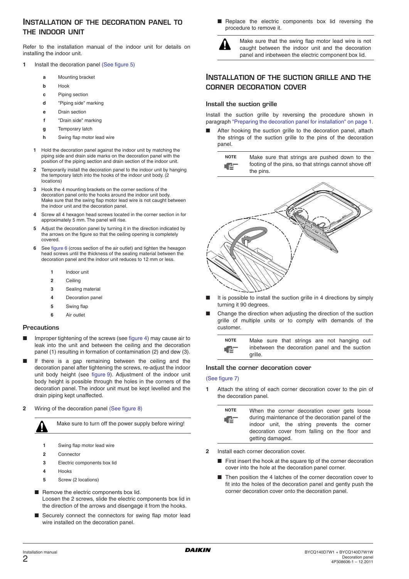# **INSTALLATION OF THE DECORATION PANEL TO THE INDOOR UNIT**

Refer to the installation manual of the indoor unit for details on installing the indoor unit.

- **1** Install the decoration panel [\(See figure 5\)](#page-1-5)
	- **a** Mounting bracket
	- **b** Hook
	- **c** Piping section
	- **d** "Piping side" marking
	- **Drain section**
	- **f** "Drain side" marking
	- **g** Temporary latch
	- **h** Swing flap motor lead wire
	- **1** Hold the decoration panel against the indoor unit by matching the piping side and drain side marks on the decoration panel with the position of the piping section and drain section of the indoor unit.
	- **2** Temporarily install the decoration panel to the indoor unit by hanging the temporary latch into the hooks of the indoor unit body. (2 locations)
	- **3** Hook the 4 mounting brackets on the corner sections of the decoration panel onto the hooks around the indoor unit body. Make sure that the swing flap motor lead wire is not caught between the indoor unit and the decoration panel.
	- **4** Screw all 4 hexagon head screws located in the corner section in for approximately 5 mm. The panel will rise.
	- **5** Adjust the decoration panel by turning it in the direction indicated by the arrows on the figure so that the ceiling opening is completely covered.
	- **6** See [figure 6](#page-1-7) (cross section of the air outlet) and tighten the hexagon head screws until the thickness of the sealing material between the decoration panel and the indoor unit reduces to 12 mm or less.
		- **1** Indoor unit
		- **2** Ceiling
		- **3** Sealing material
		- **4** Decoration panel
		- **5** Swing flap
		- **6** Air outlet

#### **Precautions**

- Improper tightening of the screws (see [figure 4](#page-1-3)) may cause air to leak into the unit and between the ceiling and the decoration panel (1) resulting in formation of contamination (2) and dew (3).
- If there is a gap remaining between the ceiling and the decoration panel after tightening the screws, re-adjust the indoor unit body height (see [figure 9](#page-1-4)). Adjustment of the indoor unit body height is possible through the holes in the corners of the decoration panel. The indoor unit must be kept levelled and the drain piping kept unaffected.
- **2** Wiring of the decoration panel [\(See figure 8\)](#page-1-6)

Make sure to turn off the power supply before wiring!

- **1** Swing flap motor lead wire
- **2** Connector
- **3** Electric components box lid
- **4** Hooks
- **5** Screw (2 locations)
- Remove the electric components box lid. Loosen the 2 screws, slide the electric components box lid in the direction of the arrows and disengage it from the hooks.
- Securely connect the connectors for swing flap motor lead wire installed on the decoration panel.

Replace the electric components box lid reversing the procedure to remove it.



Make sure that the swing flap motor lead wire is not caught between the indoor unit and the decoration panel and inbetween the electric component box lid.

# **INSTALLATION OF THE SUCTION GRILLE AND THE CORNER DECORATION COVER**

#### **Install the suction grille**

Install the suction grille by reversing the procedure shown in paragraph ["Preparing the decoration panel for installation" on page 1](#page-2-2).

After hooking the suction grille to the decoration panel, attach the strings of the suction grille to the pins of the decoration panel.

**R** 

**NOTE** Make sure that strings are pushed down to the footing of the pins, so that strings cannot shove off the pins.



- It is possible to install the suction grille in 4 directions by simply turning it 90 degrees.
- Change the direction when adjusting the direction of the suction grille of multiple units or to comply with demands of the customer.

**NOTE** Make sure that strings are not hanging out inbetween the decoration panel and the suction **PET** grille.

#### **Install the corner decoration cover**

#### [\(See figure 7\)](#page-1-8)

- **1** Attach the string of each corner decoration cover to the pin of the decoration panel.
	- **NOTE** When the corner decoration cover gets loose during maintenance of the decoration panel of the n de indoor unit, the string prevents the corner decoration cover from falling on the floor and getting damaged.
- **2** Install each corner decoration cover.
	- First insert the hook at the square tip of the corner decoration cover into the hole at the decoration panel corner.
	- Then position the 4 latches of the corner decoration cover to fit into the holes of the decoration panel and gently push the corner decoration cover onto the decoration panel.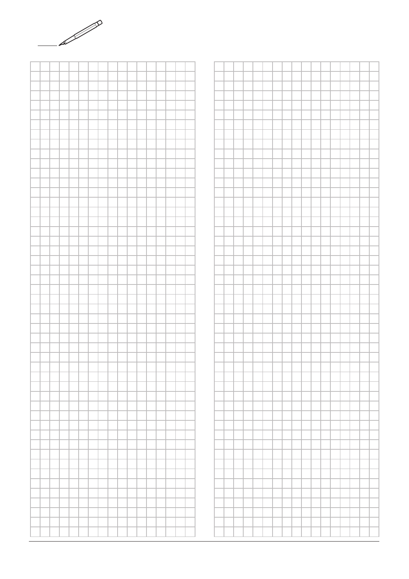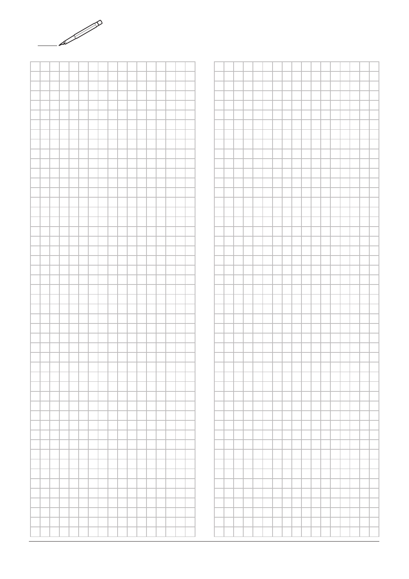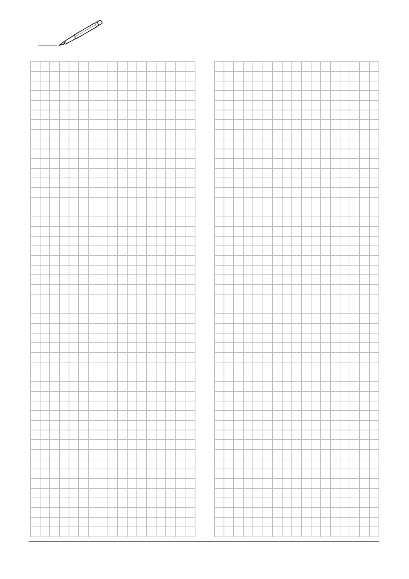